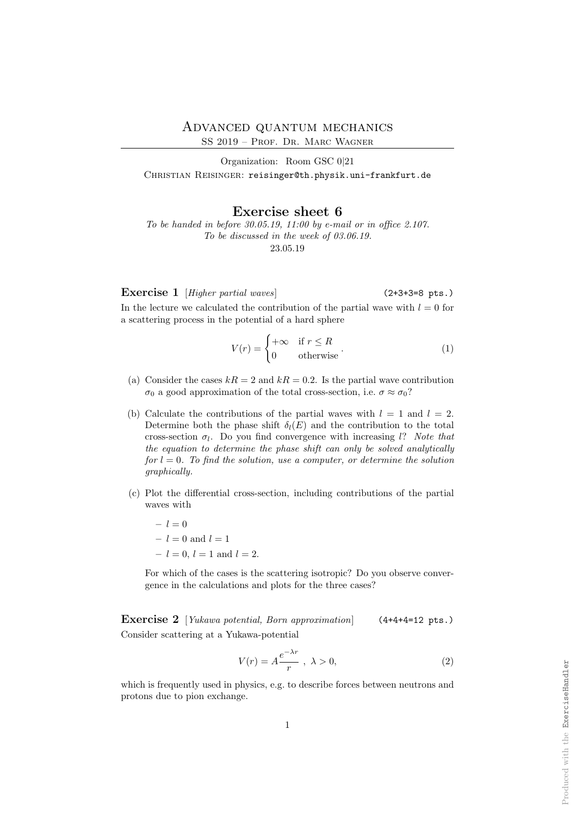Produced with the ExerciseHandler

Produced with the ExerciseHandler

## Advanced quantum mechanics

SS 2019 – Prof. Dr. Marc Wagner

Organization: Room GSC 0|21 CHRISTIAN REISINGER: reisinger@th.physik.uni-frankfurt.de

## Exercise sheet 6

To be handed in before  $30.05.19$ ,  $11:00$  by e-mail or in office 2.107. To be discussed in the week of 03.06.19. 23.05.19

Exercise 1 [Higher partial waves] (2+3+3=8 pts.)

In the lecture we calculated the contribution of the partial wave with  $l = 0$  for a scattering process in the potential of a hard sphere

$$
V(r) = \begin{cases} +\infty & \text{if } r \le R \\ 0 & \text{otherwise} \end{cases} . \tag{1}
$$

- (a) Consider the cases  $kR = 2$  and  $kR = 0.2$ . Is the partial wave contribution σ<sub>0</sub> a good approximation of the total cross-section, i.e.  $\sigma \approx \sigma_0$ ?
- (b) Calculate the contributions of the partial waves with  $l = 1$  and  $l = 2$ . Determine both the phase shift  $\delta_l(E)$  and the contribution to the total cross-section  $\sigma_l$ . Do you find convergence with increasing l? Note that the equation to determine the phase shift can only be solved analytically for  $l = 0$ . To find the solution, use a computer, or determine the solution graphically.
- (c) Plot the differential cross-section, including contributions of the partial waves with
	- $l = 0$  $-l=0$  and  $l=1$  $-l = 0, l = 1$  and  $l = 2$ .

For which of the cases is the scattering isotropic? Do you observe convergence in the calculations and plots for the three cases?

Exercise 2 [Yukawa potential, Born approximation] (4+4+4=12 pts.) Consider scattering at a Yukawa-potential

$$
V(r) = A \frac{e^{-\lambda r}}{r}, \ \lambda > 0,
$$
\n<sup>(2)</sup>

which is frequently used in physics, e.g. to describe forces between neutrons and protons due to pion exchange.